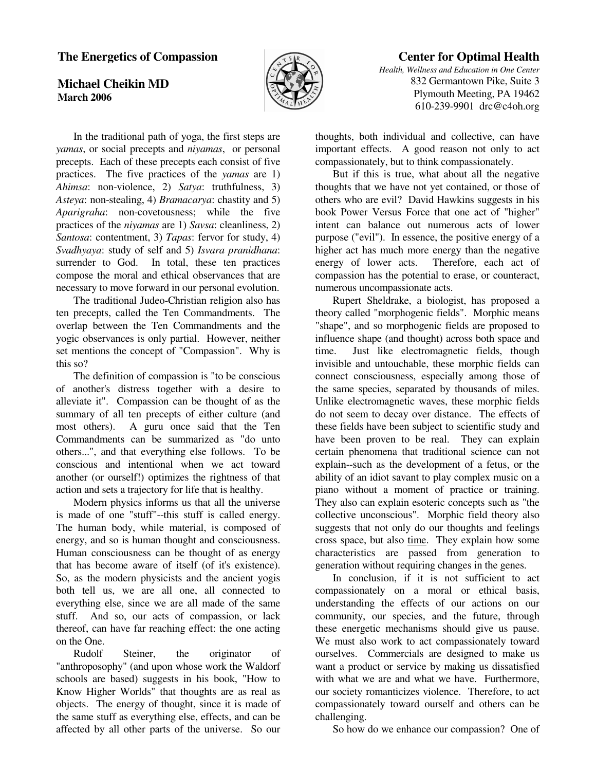## **The Energetics of Compassion**

## **Michael Cheikin MD March 2006**



# **Center for Optimal Health**

*Health, Wellness and Education in One Center* 832 Germantown Pike, Suite 3 Plymouth Meeting, PA 19462 610-239-9901 drc@c4oh.org

 In the traditional path of yoga, the first steps are *yamas*, or social precepts and *niyamas*, or personal precepts. Each of these precepts each consist of five practices. The five practices of the *yamas* are 1) *Ahimsa*: non-violence, 2) *Satya*: truthfulness, 3) *Asteya*: non-stealing, 4) *Bramacarya*: chastity and 5) *Aparigraha*: non-covetousness; while the five practices of the *niyamas* are 1) *Savsa*: cleanliness, 2) *Santosa*: contentment, 3) *Tapas*: fervor for study, 4) *Svadhyaya*: study of self and 5) *Isvara pranidhana*: surrender to God. In total, these ten practices compose the moral and ethical observances that are necessary to move forward in our personal evolution.

 The traditional Judeo-Christian religion also has ten precepts, called the Ten Commandments. The overlap between the Ten Commandments and the yogic observances is only partial. However, neither set mentions the concept of "Compassion". Why is this so?

 The definition of compassion is "to be conscious of another's distress together with a desire to alleviate it". Compassion can be thought of as the summary of all ten precepts of either culture (and most others). A guru once said that the Ten Commandments can be summarized as "do unto others...", and that everything else follows. To be conscious and intentional when we act toward another (or ourself!) optimizes the rightness of that action and sets a trajectory for life that is healthy.

 Modern physics informs us that all the universe is made of one "stuff"--this stuff is called energy. The human body, while material, is composed of energy, and so is human thought and consciousness. Human consciousness can be thought of as energy that has become aware of itself (of it's existence). So, as the modern physicists and the ancient yogis both tell us, we are all one, all connected to everything else, since we are all made of the same stuff. And so, our acts of compassion, or lack thereof, can have far reaching effect: the one acting on the One.

 Rudolf Steiner, the originator of "anthroposophy" (and upon whose work the Waldorf schools are based) suggests in his book, "How to Know Higher Worlds" that thoughts are as real as objects. The energy of thought, since it is made of the same stuff as everything else, effects, and can be affected by all other parts of the universe. So our

thoughts, both individual and collective, can have important effects. A good reason not only to act compassionately, but to think compassionately.

 But if this is true, what about all the negative thoughts that we have not yet contained, or those of others who are evil? David Hawkins suggests in his book Power Versus Force that one act of "higher" intent can balance out numerous acts of lower purpose ("evil"). In essence, the positive energy of a higher act has much more energy than the negative energy of lower acts. Therefore, each act of compassion has the potential to erase, or counteract, numerous uncompassionate acts.

 Rupert Sheldrake, a biologist, has proposed a theory called "morphogenic fields". Morphic means "shape", and so morphogenic fields are proposed to influence shape (and thought) across both space and time. Just like electromagnetic fields, though invisible and untouchable, these morphic fields can connect consciousness, especially among those of the same species, separated by thousands of miles. Unlike electromagnetic waves, these morphic fields do not seem to decay over distance. The effects of these fields have been subject to scientific study and have been proven to be real. They can explain certain phenomena that traditional science can not explain--such as the development of a fetus, or the ability of an idiot savant to play complex music on a piano without a moment of practice or training. They also can explain esoteric concepts such as "the collective unconscious". Morphic field theory also suggests that not only do our thoughts and feelings cross space, but also time. They explain how some characteristics are passed from generation to generation without requiring changes in the genes.

 In conclusion, if it is not sufficient to act compassionately on a moral or ethical basis, understanding the effects of our actions on our community, our species, and the future, through these energetic mechanisms should give us pause. We must also work to act compassionately toward ourselves. Commercials are designed to make us want a product or service by making us dissatisfied with what we are and what we have. Furthermore, our society romanticizes violence. Therefore, to act compassionately toward ourself and others can be challenging.

So how do we enhance our compassion? One of